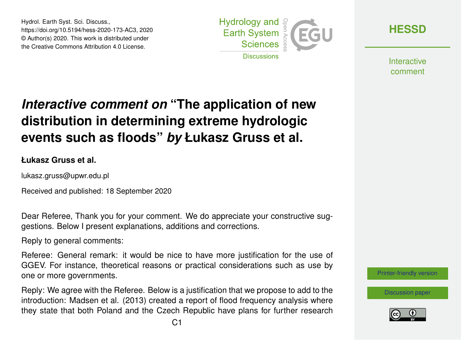Hydrol. Earth Syst. Sci. Discuss., https://doi.org/10.5194/hess-2020-173-AC3, 2020 © Author(s) 2020. This work is distributed under the Creative Commons Attribution 4.0 License.



**[HESSD](https://hess.copernicus.org/preprints/)**

**Interactive** comment

# *Interactive comment on* **"The application of new distribution in determining extreme hydrologic events such as floods"** *by* **Łukasz Gruss et al.**

**Łukasz Gruss et al.**

lukasz.gruss@upwr.edu.pl

Received and published: 18 September 2020

Dear Referee, Thank you for your comment. We do appreciate your constructive suggestions. Below I present explanations, additions and corrections.

Reply to general comments:

Referee: General remark: it would be nice to have more justification for the use of GGEV. For instance, theoretical reasons or practical considerations such as use by one or more governments.

Reply: We agree with the Referee. Below is a justification that we propose to add to the introduction: Madsen et al. (2013) created a report of flood frequency analysis where they state that both Poland and the Czech Republic have plans for further research [Printer-friendly version](https://hess.copernicus.org/preprints/hess-2020-173/hess-2020-173-AC3-print.pdf)

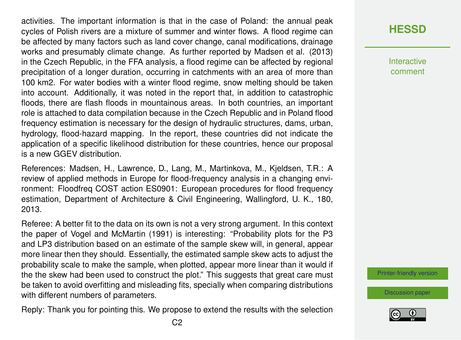activities. The important information is that in the case of Poland: the annual peak cycles of Polish rivers are a mixture of summer and winter flows. A flood regime can be affected by many factors such as land cover change, canal modifications, drainage works and presumably climate change. As further reported by Madsen et al. (2013) in the Czech Republic, in the FFA analysis, a flood regime can be affected by regional precipitation of a longer duration, occurring in catchments with an area of more than 100 km2. For water bodies with a winter flood regime, snow melting should be taken into account. Additionally, it was noted in the report that, in addition to catastrophic floods, there are flash floods in mountainous areas. In both countries, an important role is attached to data compilation because in the Czech Republic and in Poland flood frequency estimation is necessary for the design of hydraulic structures, dams, urban, hydrology, flood-hazard mapping. In the report, these countries did not indicate the application of a specific likelihood distribution for these countries, hence our proposal is a new GGEV distribution.

References: Madsen, H., Lawrence, D., Lang, M., Martinkova, M., Kjeldsen, T.R.: A review of applied methods in Europe for flood-frequency analysis in a changing environment: Floodfreq COST action ES0901: European procedures for flood frequency estimation, Department of Architecture & Civil Engineering, Wallingford, U. K., 180, 2013.

Referee: A better fit to the data on its own is not a very strong argument. In this context the paper of Vogel and McMartin (1991) is interesting: "Probability plots for the P3 and LP3 distribution based on an estimate of the sample skew will, in general, appear more linear then they should. Essentially, the estimated sample skew acts to adjust the probability scale to make the sample, when plotted, appear more linear than it would if the the skew had been used to construct the plot." This suggests that great care must be taken to avoid overfitting and misleading fits, specially when comparing distributions with different numbers of parameters.

Reply: Thank you for pointing this. We propose to extend the results with the selection

### **[HESSD](https://hess.copernicus.org/preprints/)**

**Interactive** comment

[Printer-friendly version](https://hess.copernicus.org/preprints/hess-2020-173/hess-2020-173-AC3-print.pdf)

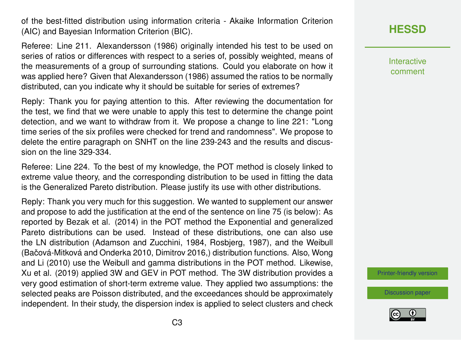of the best-fitted distribution using information criteria - Akaike Information Criterion (AIC) and Bayesian Information Criterion (BIC).

Referee: Line 211. Alexandersson (1986) originally intended his test to be used on series of ratios or differences with respect to a series of, possibly weighted, means of the measurements of a group of surrounding stations. Could you elaborate on how it was applied here? Given that Alexandersson (1986) assumed the ratios to be normally distributed, can you indicate why it should be suitable for series of extremes?

Reply: Thank you for paying attention to this. After reviewing the documentation for the test, we find that we were unable to apply this test to determine the change point detection, and we want to withdraw from it. We propose a change to line 221: "Long time series of the six profiles were checked for trend and randomness". We propose to delete the entire paragraph on SNHT on the line 239-243 and the results and discussion on the line 329-334.

Referee: Line 224. To the best of my knowledge, the POT method is closely linked to extreme value theory, and the corresponding distribution to be used in fitting the data is the Generalized Pareto distribution. Please justify its use with other distributions.

Reply: Thank you very much for this suggestion. We wanted to supplement our answer and propose to add the justification at the end of the sentence on line 75 (is below): As reported by Bezak et al. (2014) in the POT method the Exponential and generalized Pareto distributions can be used. Instead of these distributions, one can also use the LN distribution (Adamson and Zucchini, 1984, Rosbjerg, 1987), and the Weibull (Bačová-Mitková and Onderka 2010, Dimitrov 2016,) distribution functions. Also, Wong and Li (2010) use the Weibull and gamma distributions in the POT method. Likewise, Xu et al. (2019) applied 3W and GEV in POT method. The 3W distribution provides a very good estimation of short-term extreme value. They applied two assumptions: the selected peaks are Poisson distributed, and the exceedances should be approximately independent. In their study, the dispersion index is applied to select clusters and check **[HESSD](https://hess.copernicus.org/preprints/)**

Interactive comment

[Printer-friendly version](https://hess.copernicus.org/preprints/hess-2020-173/hess-2020-173-AC3-print.pdf)

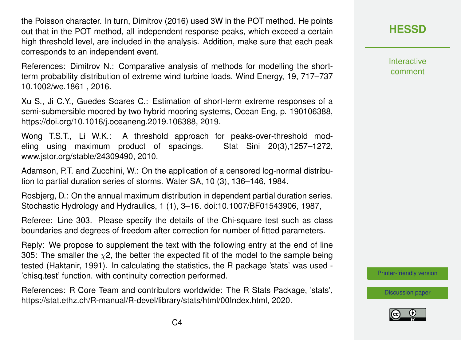the Poisson character. In turn, Dimitrov (2016) used 3W in the POT method. He points out that in the POT method, all independent response peaks, which exceed a certain high threshold level, are included in the analysis. Addition, make sure that each peak corresponds to an independent event.

References: Dimitrov N.: Comparative analysis of methods for modelling the shortterm probability distribution of extreme wind turbine loads, Wind Energy, 19, 717–737 10.1002/we.1861 , 2016.

Xu S., Ji C.Y., Guedes Soares C.: Estimation of short-term extreme responses of a semi-submersible moored by two hybrid mooring systems, Ocean Eng, p. 190106388, https://doi.org/10.1016/j.oceaneng.2019.106388, 2019.

Wong T.S.T., Li W.K.: A threshold approach for peaks-over-threshold modeling using maximum product of spacings. Stat Sini 20(3),1257–1272, www.jstor.org/stable/24309490, 2010.

Adamson, P.T. and Zucchini, W.: On the application of a censored log-normal distribution to partial duration series of storms. Water SA, 10 (3), 136–146, 1984.

Rosbjerg, D.: On the annual maximum distribution in dependent partial duration series. Stochastic Hydrology and Hydraulics, 1 (1), 3–16. doi:10.1007/BF01543906, 1987,

Referee: Line 303. Please specify the details of the Chi-square test such as class boundaries and degrees of freedom after correction for number of fitted parameters.

Reply: We propose to supplement the text with the following entry at the end of line 305: The smaller the  $\chi$ 2, the better the expected fit of the model to the sample being tested (Haktanir, 1991). In calculating the statistics, the R package 'stats' was used - 'chisq.test' function. with continuity correction performed.

References: R Core Team and contributors worldwide: The R Stats Package, 'stats', https://stat.ethz.ch/R-manual/R-devel/library/stats/html/00Index.html, 2020.

**[HESSD](https://hess.copernicus.org/preprints/)**

**Interactive** comment

[Printer-friendly version](https://hess.copernicus.org/preprints/hess-2020-173/hess-2020-173-AC3-print.pdf)

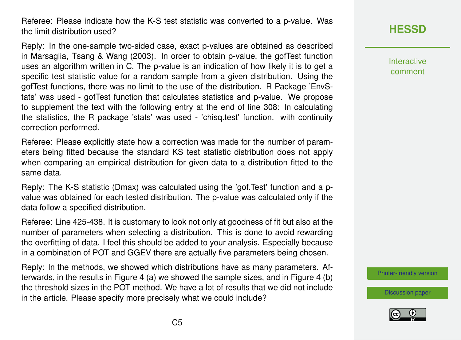Referee: Please indicate how the K-S test statistic was converted to a p-value. Was the limit distribution used?

Reply: In the one-sample two-sided case, exact p-values are obtained as described in Marsaglia, Tsang & Wang (2003). In order to obtain p-value, the gofTest function uses an algorithm written in C. The p-value is an indication of how likely it is to get a specific test statistic value for a random sample from a given distribution. Using the gofTest functions, there was no limit to the use of the distribution. R Package 'EnvStats' was used - gofTest function that calculates statistics and p-value. We propose to supplement the text with the following entry at the end of line 308: In calculating the statistics, the R package 'stats' was used - 'chisq.test' function. with continuity correction performed.

Referee: Please explicitly state how a correction was made for the number of parameters being fitted because the standard KS test statistic distribution does not apply when comparing an empirical distribution for given data to a distribution fitted to the same data.

Reply: The K-S statistic (Dmax) was calculated using the 'gof.Test' function and a pvalue was obtained for each tested distribution. The p-value was calculated only if the data follow a specified distribution.

Referee: Line 425-438. It is customary to look not only at goodness of fit but also at the number of parameters when selecting a distribution. This is done to avoid rewarding the overfitting of data. I feel this should be added to your analysis. Especially because in a combination of POT and GGEV there are actually five parameters being chosen.

Reply: In the methods, we showed which distributions have as many parameters. Afterwards, in the results in Figure 4 (a) we showed the sample sizes, and in Figure 4 (b) the threshold sizes in the POT method. We have a lot of results that we did not include in the article. Please specify more precisely what we could include?

## **[HESSD](https://hess.copernicus.org/preprints/)**

Interactive comment

[Printer-friendly version](https://hess.copernicus.org/preprints/hess-2020-173/hess-2020-173-AC3-print.pdf)

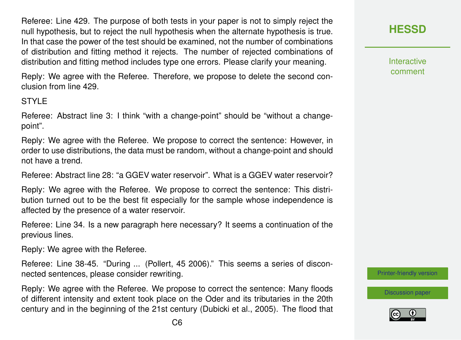Referee: Line 429. The purpose of both tests in your paper is not to simply reject the null hypothesis, but to reject the null hypothesis when the alternate hypothesis is true. In that case the power of the test should be examined, not the number of combinations of distribution and fitting method it rejects. The number of rejected combinations of distribution and fitting method includes type one errors. Please clarify your meaning.

Reply: We agree with the Referee. Therefore, we propose to delete the second conclusion from line 429.

#### **STYLE**

Referee: Abstract line 3: I think "with a change-point" should be "without a changepoint".

Reply: We agree with the Referee. We propose to correct the sentence: However, in order to use distributions, the data must be random, without a change-point and should not have a trend.

Referee: Abstract line 28: "a GGEV water reservoir". What is a GGEV water reservoir?

Reply: We agree with the Referee. We propose to correct the sentence: This distribution turned out to be the best fit especially for the sample whose independence is affected by the presence of a water reservoir.

Referee: Line 34. Is a new paragraph here necessary? It seems a continuation of the previous lines.

Reply: We agree with the Referee.

Referee: Line 38-45. "During ... (Pollert, 45 2006)." This seems a series of disconnected sentences, please consider rewriting.

Reply: We agree with the Referee. We propose to correct the sentence: Many floods of different intensity and extent took place on the Oder and its tributaries in the 20th century and in the beginning of the 21st century (Dubicki et al., 2005). The flood that **[HESSD](https://hess.copernicus.org/preprints/)**

**Interactive** comment

[Printer-friendly version](https://hess.copernicus.org/preprints/hess-2020-173/hess-2020-173-AC3-print.pdf)

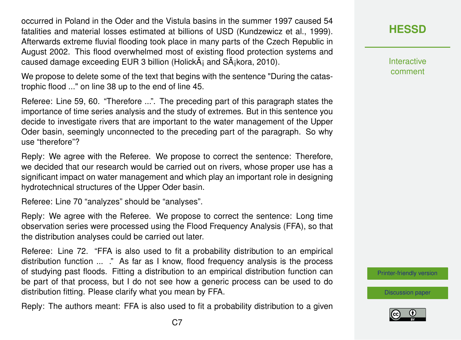occurred in Poland in the Oder and the Vistula basins in the summer 1997 caused 54 fatalities and material losses estimated at billions of USD (Kundzewicz et al., 1999). Afterwards extreme fluvial flooding took place in many parts of the Czech Republic in August 2002. This flood overwhelmed most of existing flood protection systems and caused damage exceeding EUR 3 billion (Holick $\tilde{A}$  and  $S\tilde{A}$  kora, 2010).

We propose to delete some of the text that begins with the sentence "During the catastrophic flood ..." on line 38 up to the end of line 45.

Referee: Line 59, 60. "Therefore ...". The preceding part of this paragraph states the importance of time series analysis and the study of extremes. But in this sentence you decide to investigate rivers that are important to the water management of the Upper Oder basin, seemingly unconnected to the preceding part of the paragraph. So why use "therefore"?

Reply: We agree with the Referee. We propose to correct the sentence: Therefore, we decided that our research would be carried out on rivers, whose proper use has a significant impact on water management and which play an important role in designing hydrotechnical structures of the Upper Oder basin.

Referee: Line 70 "analyzes" should be "analyses".

Reply: We agree with the Referee. We propose to correct the sentence: Long time observation series were processed using the Flood Frequency Analysis (FFA), so that the distribution analyses could be carried out later.

Referee: Line 72. "FFA is also used to fit a probability distribution to an empirical distribution function ... ." As far as I know, flood frequency analysis is the process of studying past floods. Fitting a distribution to an empirical distribution function can be part of that process, but I do not see how a generic process can be used to do distribution fitting. Please clarify what you mean by FFA.

Reply: The authors meant: FFA is also used to fit a probability distribution to a given

**[HESSD](https://hess.copernicus.org/preprints/)**

**Interactive** comment

[Printer-friendly version](https://hess.copernicus.org/preprints/hess-2020-173/hess-2020-173-AC3-print.pdf)

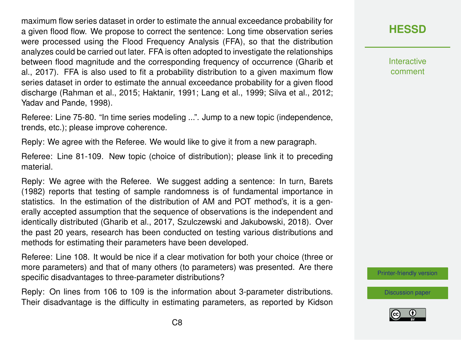maximum flow series dataset in order to estimate the annual exceedance probability for a given flood flow. We propose to correct the sentence: Long time observation series were processed using the Flood Frequency Analysis (FFA), so that the distribution analyzes could be carried out later. FFA is often adopted to investigate the relationships between flood magnitude and the corresponding frequency of occurrence (Gharib et al., 2017). FFA is also used to fit a probability distribution to a given maximum flow series dataset in order to estimate the annual exceedance probability for a given flood discharge (Rahman et al., 2015; Haktanir, 1991; Lang et al., 1999; Silva et al., 2012; Yadav and Pande, 1998).

Referee: Line 75-80. "In time series modeling ...". Jump to a new topic (independence, trends, etc.); please improve coherence.

Reply: We agree with the Referee. We would like to give it from a new paragraph.

Referee: Line 81-109. New topic (choice of distribution); please link it to preceding material.

Reply: We agree with the Referee. We suggest adding a sentence: In turn, Barets (1982) reports that testing of sample randomness is of fundamental importance in statistics. In the estimation of the distribution of AM and POT method's, it is a generally accepted assumption that the sequence of observations is the independent and identically distributed (Gharib et al., 2017, Szulczewski and Jakubowski, 2018). Over the past 20 years, research has been conducted on testing various distributions and methods for estimating their parameters have been developed.

Referee: Line 108. It would be nice if a clear motivation for both your choice (three or more parameters) and that of many others (to parameters) was presented. Are there specific disadvantages to three-parameter distributions?

Reply: On lines from 106 to 109 is the information about 3-parameter distributions. Their disadvantage is the difficulty in estimating parameters, as reported by Kidson

### **[HESSD](https://hess.copernicus.org/preprints/)**

**Interactive** comment

[Printer-friendly version](https://hess.copernicus.org/preprints/hess-2020-173/hess-2020-173-AC3-print.pdf)

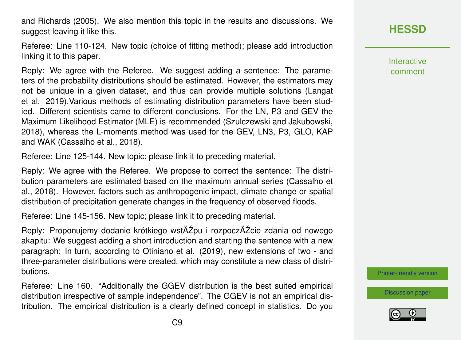and Richards (2005). We also mention this topic in the results and discussions. We suggest leaving it like this.

Referee: Line 110-124. New topic (choice of fitting method); please add introduction linking it to this paper.

Reply: We agree with the Referee. We suggest adding a sentence: The parameters of the probability distributions should be estimated. However, the estimators may not be unique in a given dataset, and thus can provide multiple solutions (Langat et al. 2019).Various methods of estimating distribution parameters have been studied. Different scientists came to different conclusions. For the LN, P3 and GEV the Maximum Likelihood Estimator (MLE) is recommended (Szulczewski and Jakubowski, 2018), whereas the L-moments method was used for the GEV, LN3, P3, GLO, KAP and WAK (Cassalho et al., 2018).

Referee: Line 125-144. New topic; please link it to preceding material.

Reply: We agree with the Referee. We propose to correct the sentence: The distribution parameters are estimated based on the maximum annual series (Cassalho et al., 2018). However, factors such as anthropogenic impact, climate change or spatial distribution of precipitation generate changes in the frequency of observed floods.

Referee: Line 145-156. New topic; please link it to preceding material.

Reply: Proponujemy dodanie krótkiego wstÄŹpu i rozpoczÄŹcie zdania od nowego akapitu: We suggest adding a short introduction and starting the sentence with a new paragraph: In turn, according to Otiniano et al. (2019), new extensions of two - and three-parameter distributions were created, which may constitute a new class of distributions.

Referee: Line 160. "Additionally the GGEV distribution is the best suited empirical distribution irrespective of sample independence". The GGEV is not an empirical distribution. The empirical distribution is a clearly defined concept in statistics. Do you **Interactive** comment

[Printer-friendly version](https://hess.copernicus.org/preprints/hess-2020-173/hess-2020-173-AC3-print.pdf)

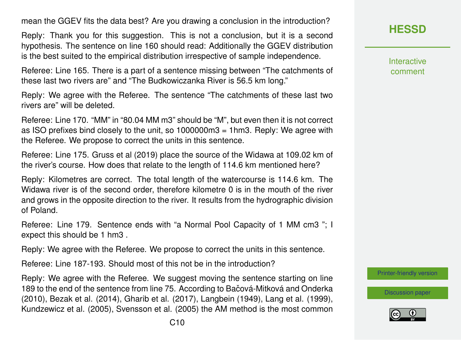#### mean the GGEV fits the data best? Are you drawing a conclusion in the introduction?

Reply: Thank you for this suggestion. This is not a conclusion, but it is a second hypothesis. The sentence on line 160 should read: Additionally the GGEV distribution is the best suited to the empirical distribution irrespective of sample independence.

Referee: Line 165. There is a part of a sentence missing between "The catchments of these last two rivers are" and "The Budkowiczanka River is 56.5 km long."

Reply: We agree with the Referee. The sentence "The catchments of these last two rivers are" will be deleted.

Referee: Line 170. "MM" in "80.04 MM m3" should be "M", but even then it is not correct as ISO prefixes bind closely to the unit, so 1000000m3 = 1hm3. Reply: We agree with the Referee. We propose to correct the units in this sentence.

Referee: Line 175. Gruss et al (2019) place the source of the Widawa at 109.02 km of the river's course. How does that relate to the length of 114.6 km mentioned here?

Reply: Kilometres are correct. The total length of the watercourse is 114.6 km. The Widawa river is of the second order, therefore kilometre 0 is in the mouth of the river and grows in the opposite direction to the river. It results from the hydrographic division of Poland.

Referee: Line 179. Sentence ends with "a Normal Pool Capacity of 1 MM cm3 "; I expect this should be 1 hm3 .

Reply: We agree with the Referee. We propose to correct the units in this sentence.

Referee: Line 187-193. Should most of this not be in the introduction?

Reply: We agree with the Referee. We suggest moving the sentence starting on line 189 to the end of the sentence from line 75. According to Bačová-Mitková and Onderka (2010), Bezak et al. (2014), Gharib et al. (2017), Langbein (1949), Lang et al. (1999), Kundzewicz et al. (2005), Svensson et al. (2005) the AM method is the most common Interactive comment

[Printer-friendly version](https://hess.copernicus.org/preprints/hess-2020-173/hess-2020-173-AC3-print.pdf)

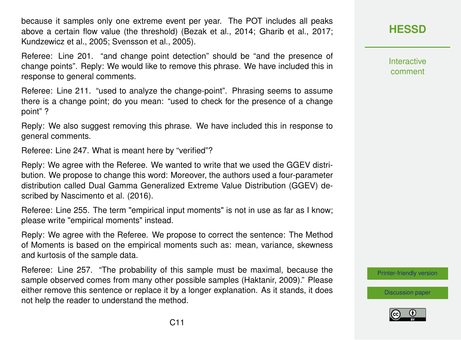because it samples only one extreme event per year. The POT includes all peaks above a certain flow value (the threshold) (Bezak et al., 2014; Gharib et al., 2017; Kundzewicz et al., 2005; Svensson et al., 2005).

Referee: Line 201. "and change point detection" should be "and the presence of change points". Reply: We would like to remove this phrase. We have included this in response to general comments.

Referee: Line 211. "used to analyze the change-point". Phrasing seems to assume there is a change point; do you mean: "used to check for the presence of a change point" ?

Reply: We also suggest removing this phrase. We have included this in response to general comments.

Referee: Line 247. What is meant here by "verified"?

Reply: We agree with the Referee. We wanted to write that we used the GGEV distribution. We propose to change this word: Moreover, the authors used a four-parameter distribution called Dual Gamma Generalized Extreme Value Distribution (GGEV) described by Nascimento et al. (2016).

Referee: Line 255. The term "empirical input moments" is not in use as far as I know; please write "empirical moments" instead.

Reply: We agree with the Referee. We propose to correct the sentence: The Method of Moments is based on the empirical moments such as: mean, variance, skewness and kurtosis of the sample data.

Referee: Line 257. "The probability of this sample must be maximal, because the sample observed comes from many other possible samples (Haktanir, 2009)." Please either remove this sentence or replace it by a longer explanation. As it stands, it does not help the reader to understand the method.



**Interactive** comment

[Printer-friendly version](https://hess.copernicus.org/preprints/hess-2020-173/hess-2020-173-AC3-print.pdf)

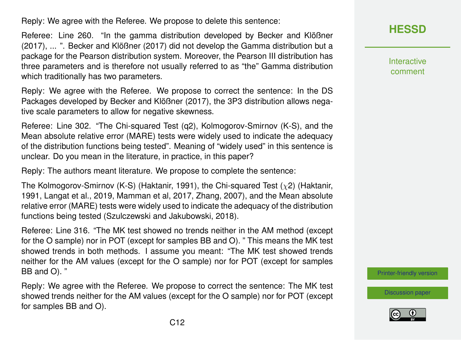Reply: We agree with the Referee. We propose to delete this sentence:

Referee: Line 260. "In the gamma distribution developed by Becker and Klößner (2017), ... ". Becker and Klößner (2017) did not develop the Gamma distribution but a package for the Pearson distribution system. Moreover, the Pearson III distribution has three parameters and is therefore not usually referred to as "the" Gamma distribution which traditionally has two parameters.

Reply: We agree with the Referee. We propose to correct the sentence: In the DS Packages developed by Becker and Klößner (2017), the 3P3 distribution allows negative scale parameters to allow for negative skewness.

Referee: Line 302. "The Chi-squared Test (q2), Kolmogorov-Smirnov (K-S), and the Mean absolute relative error (MARE) tests were widely used to indicate the adequacy of the distribution functions being tested". Meaning of "widely used" in this sentence is unclear. Do you mean in the literature, in practice, in this paper?

Reply: The authors meant literature. We propose to complete the sentence:

The Kolmogorov-Smirnov (K-S) (Haktanir, 1991), the Chi-squared Test  $(\chi^2)$  (Haktanir, 1991, Langat et al., 2019, Mamman et al, 2017, Zhang, 2007), and the Mean absolute relative error (MARE) tests were widely used to indicate the adequacy of the distribution functions being tested (Szulczewski and Jakubowski, 2018).

Referee: Line 316. "The MK test showed no trends neither in the AM method (except for the O sample) nor in POT (except for samples BB and O). " This means the MK test showed trends in both methods. I assume you meant: "The MK test showed trends neither for the AM values (except for the O sample) nor for POT (except for samples BB and O). "

Reply: We agree with the Referee. We propose to correct the sentence: The MK test showed trends neither for the AM values (except for the O sample) nor for POT (except for samples BB and O).

**[HESSD](https://hess.copernicus.org/preprints/)**

**Interactive** comment

[Printer-friendly version](https://hess.copernicus.org/preprints/hess-2020-173/hess-2020-173-AC3-print.pdf)

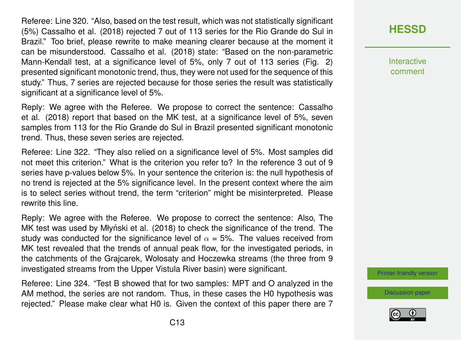Referee: Line 320. "Also, based on the test result, which was not statistically significant (5%) Cassalho et al. (2018) rejected 7 out of 113 series for the Rio Grande do Sul in Brazil." Too brief, please rewrite to make meaning clearer because at the moment it can be misunderstood. Cassalho et al. (2018) state: "Based on the non-parametric Mann-Kendall test, at a significance level of 5%, only 7 out of 113 series (Fig. 2) presented significant monotonic trend, thus, they were not used for the sequence of this study." Thus, 7 series are rejected because for those series the result was statistically significant at a significance level of 5%.

Reply: We agree with the Referee. We propose to correct the sentence: Cassalho et al. (2018) report that based on the MK test, at a significance level of 5%, seven samples from 113 for the Rio Grande do Sul in Brazil presented significant monotonic trend. Thus, these seven series are rejected.

Referee: Line 322. "They also relied on a significance level of 5%. Most samples did not meet this criterion." What is the criterion you refer to? In the reference 3 out of 9 series have p-values below 5%. In your sentence the criterion is: the null hypothesis of no trend is rejected at the 5% significance level. In the present context where the aim is to select series without trend, the term "criterion" might be misinterpreted. Please rewrite this line.

Reply: We agree with the Referee. We propose to correct the sentence: Also, The MK test was used by Młyński et al. (2018) to check the significance of the trend. The study was conducted for the significance level of  $\alpha = 5\%$ . The values received from MK test revealed that the trends of annual peak flow, for the investigated periods, in the catchments of the Grajcarek, Wołosaty and Hoczewka streams (the three from 9 investigated streams from the Upper Vistula River basin) were significant.

Referee: Line 324. "Test B showed that for two samples: MPT and O analyzed in the AM method, the series are not random. Thus, in these cases the H0 hypothesis was rejected." Please make clear what H0 is. Given the context of this paper there are 7 **[HESSD](https://hess.copernicus.org/preprints/)**

**Interactive** comment

[Printer-friendly version](https://hess.copernicus.org/preprints/hess-2020-173/hess-2020-173-AC3-print.pdf)

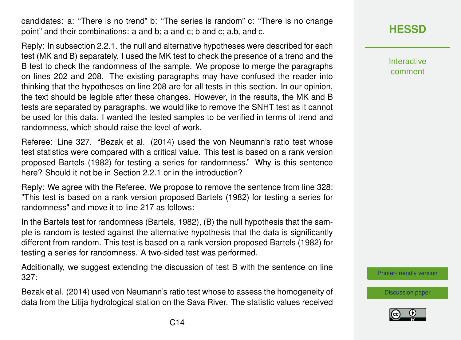candidates: a: "There is no trend" b: "The series is random" c: "There is no change point" and their combinations: a and b; a and c; b and c; a,b, and c.

Reply: In subsection 2.2.1. the null and alternative hypotheses were described for each test (MK and B) separately. I used the MK test to check the presence of a trend and the B test to check the randomness of the sample. We propose to merge the paragraphs on lines 202 and 208. The existing paragraphs may have confused the reader into thinking that the hypotheses on line 208 are for all tests in this section. In our opinion, the text should be legible after these changes. However, in the results, the MK and B tests are separated by paragraphs. we would like to remove the SNHT test as it cannot be used for this data. I wanted the tested samples to be verified in terms of trend and randomness, which should raise the level of work.

Referee: Line 327. "Bezak et al. (2014) used the von Neumann's ratio test whose test statistics were compared with a critical value. This test is based on a rank version proposed Bartels (1982) for testing a series for randomness." Why is this sentence here? Should it not be in Section 2.2.1 or in the introduction?

Reply: We agree with the Referee. We propose to remove the sentence from line 328: "This test is based on a rank version proposed Bartels (1982) for testing a series for randomness" and move it to line 217 as follows:

In the Bartels test for randomness (Bartels, 1982), (B) the null hypothesis that the sample is random is tested against the alternative hypothesis that the data is significantly different from random. This test is based on a rank version proposed Bartels (1982) for testing a series for randomness. A two-sided test was performed.

Additionally, we suggest extending the discussion of test B with the sentence on line 327:

Bezak et al. (2014) used von Neumann's ratio test whose to assess the homogeneity of data from the Litija hydrological station on the Sava River. The statistic values received

## **[HESSD](https://hess.copernicus.org/preprints/)**

Interactive comment

[Printer-friendly version](https://hess.copernicus.org/preprints/hess-2020-173/hess-2020-173-AC3-print.pdf)

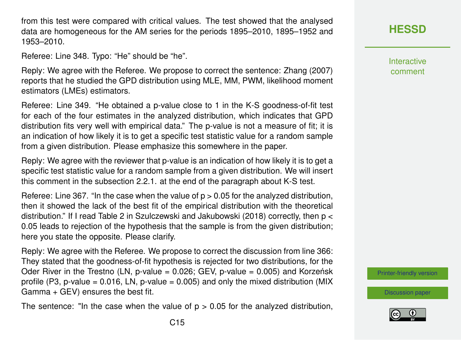from this test were compared with critical values. The test showed that the analysed data are homogeneous for the AM series for the periods 1895–2010, 1895–1952 and 1953–2010.

Referee: Line 348. Typo: "He" should be "he".

Reply: We agree with the Referee. We propose to correct the sentence: Zhang (2007) reports that he studied the GPD distribution using MLE, MM, PWM, likelihood moment estimators (LMEs) estimators.

Referee: Line 349. "He obtained a p-value close to 1 in the K-S goodness-of-fit test for each of the four estimates in the analyzed distribution, which indicates that GPD distribution fits very well with empirical data." The p-value is not a measure of fit; it is an indication of how likely it is to get a specific test statistic value for a random sample from a given distribution. Please emphasize this somewhere in the paper.

Reply: We agree with the reviewer that p-value is an indication of how likely it is to get a specific test statistic value for a random sample from a given distribution. We will insert this comment in the subsection 2.2.1. at the end of the paragraph about K-S test.

Referee: Line 367. "In the case when the value of  $p > 0.05$  for the analyzed distribution, then it showed the lack of the best fit of the empirical distribution with the theoretical distribution." If I read Table 2 in Szulczewski and Jakubowski (2018) correctly, then p < 0.05 leads to rejection of the hypothesis that the sample is from the given distribution; here you state the opposite. Please clarify.

Reply: We agree with the Referee. We propose to correct the discussion from line 366: They stated that the goodness-of-fit hypothesis is rejected for two distributions, for the Oder River in the Trestno (LN, p-value =  $0.026$ ; GEV, p-value =  $0.005$ ) and Korzeńsk profile (P3, p-value =  $0.016$ , LN, p-value =  $0.005$ ) and only the mixed distribution (MIX Gamma + GEV) ensures the best fit.

The sentence: "In the case when the value of  $p > 0.05$  for the analyzed distribution,

**Interactive** comment

[Printer-friendly version](https://hess.copernicus.org/preprints/hess-2020-173/hess-2020-173-AC3-print.pdf)

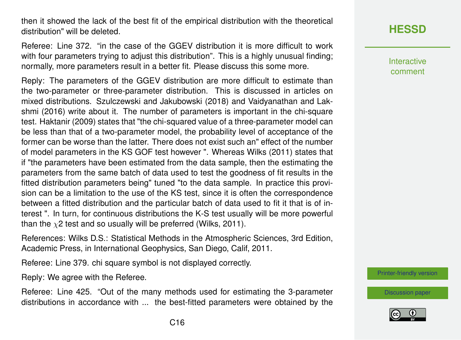then it showed the lack of the best fit of the empirical distribution with the theoretical distribution" will be deleted.

Referee: Line 372. "in the case of the GGEV distribution it is more difficult to work with four parameters trying to adjust this distribution". This is a highly unusual finding; normally, more parameters result in a better fit. Please discuss this some more.

Reply: The parameters of the GGEV distribution are more difficult to estimate than the two-parameter or three-parameter distribution. This is discussed in articles on mixed distributions. Szulczewski and Jakubowski (2018) and Vaidyanathan and Lakshmi (2016) write about it. The number of parameters is important in the chi-square test. Haktanir (2009) states that "the chi-squared value of a three-parameter model can be less than that of a two-parameter model, the probability level of acceptance of the former can be worse than the latter. There does not exist such an" effect of the number of model parameters in the KS GOF test however ". Whereas Wilks (2011) states that if "the parameters have been estimated from the data sample, then the estimating the parameters from the same batch of data used to test the goodness of fit results in the fitted distribution parameters being" tuned "to the data sample. In practice this provision can be a limitation to the use of the KS test, since it is often the correspondence between a fitted distribution and the particular batch of data used to fit it that is of interest ". In turn, for continuous distributions the K-S test usually will be more powerful than the  $\chi$ 2 test and so usually will be preferred (Wilks, 2011).

References: Wilks D.S.: Statistical Methods in the Atmospheric Sciences, 3rd Edition, Academic Press, in International Geophysics, San Diego, Calif, 2011.

Referee: Line 379. chi square symbol is not displayed correctly.

Reply: We agree with the Referee.

Referee: Line 425. "Out of the many methods used for estimating the 3-parameter distributions in accordance with ... the best-fitted parameters were obtained by the Interactive comment

[Printer-friendly version](https://hess.copernicus.org/preprints/hess-2020-173/hess-2020-173-AC3-print.pdf)